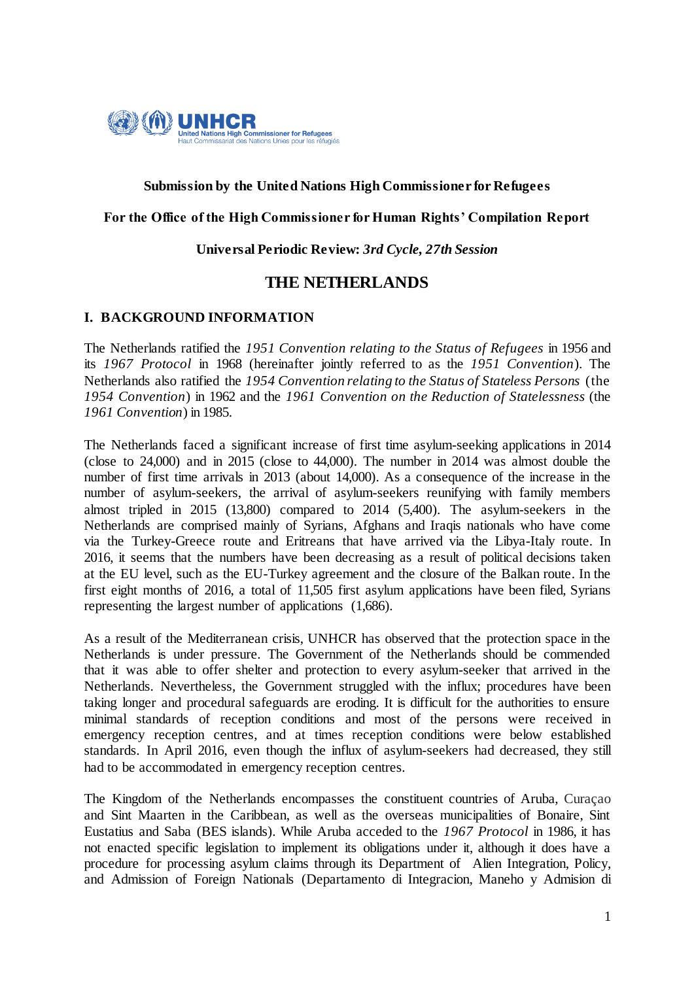

## **Submission by the United Nations High Commissioner for Refugees**

## **For the Office of the High Commissioner for Human Rights' Compilation Report**

## **Universal Periodic Review:** *3rd Cycle, 27th Session*

# **THE NETHERLANDS**

## **I. BACKGROUND INFORMATION**

The Netherlands ratified the *1951 Convention relating to the Status of Refugees* in 1956 and its *1967 Protocol* in 1968 (hereinafter jointly referred to as the *1951 Convention*). The Netherlands also ratified the *1954 Convention relating to the Status of Stateless Persons* (the *1954 Convention*) in 1962 and the *1961 Convention on the Reduction of Statelessness* (the *1961 Convention*) in 1985.

The Netherlands faced a significant increase of first time asylum-seeking applications in 2014 (close to 24,000) and in 2015 (close to 44,000). The number in 2014 was almost double the number of first time arrivals in 2013 (about 14,000). As a consequence of the increase in the number of asylum-seekers, the arrival of asylum-seekers reunifying with family members almost tripled in 2015 (13,800) compared to 2014 (5,400). The asylum-seekers in the Netherlands are comprised mainly of Syrians, Afghans and Iraqis nationals who have come via the Turkey-Greece route and Eritreans that have arrived via the Libya-Italy route. In 2016, it seems that the numbers have been decreasing as a result of political decisions taken at the EU level, such as the EU-Turkey agreement and the closure of the Balkan route. In the first eight months of 2016, a total of 11,505 first asylum applications have been filed, Syrians representing the largest number of applications (1,686).

As a result of the Mediterranean crisis, UNHCR has observed that the protection space in the Netherlands is under pressure. The Government of the Netherlands should be commended that it was able to offer shelter and protection to every asylum-seeker that arrived in the Netherlands. Nevertheless, the Government struggled with the influx; procedures have been taking longer and procedural safeguards are eroding. It is difficult for the authorities to ensure minimal standards of reception conditions and most of the persons were received in emergency reception centres, and at times reception conditions were below established standards. In April 2016, even though the influx of asylum-seekers had decreased, they still had to be accommodated in emergency reception centres.

The Kingdom of the Netherlands encompasses the constituent countries of Aruba, Curaçao and Sint Maarten in the Caribbean, as well as the overseas municipalities of Bonaire, Sint Eustatius and Saba (BES islands). While Aruba acceded to the *1967 Protocol* in 1986, it has not enacted specific legislation to implement its obligations under it, although it does have a procedure for processing asylum claims through its Department of Alien Integration, Policy, and Admission of Foreign Nationals (Departamento di Integracion, Maneho y Admision di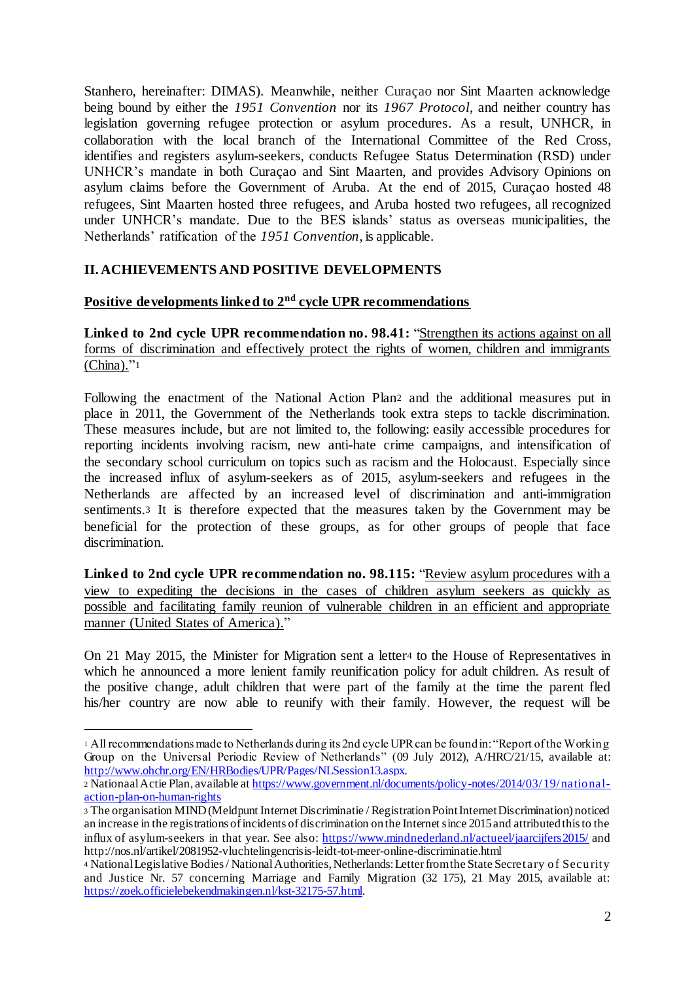Stanhero, hereinafter: DIMAS). Meanwhile, neither Curaçao nor Sint Maarten acknowledge being bound by either the *1951 Convention* nor its *1967 Protocol*, and neither country has legislation governing refugee protection or asylum procedures. As a result, UNHCR, in collaboration with the local branch of the International Committee of the Red Cross, identifies and registers asylum-seekers, conducts Refugee Status Determination (RSD) under UNHCR's mandate in both Curaçao and Sint Maarten, and provides Advisory Opinions on asylum claims before the Government of Aruba. At the end of 2015, Curaçao hosted 48 refugees, Sint Maarten hosted three refugees, and Aruba hosted two refugees, all recognized under UNHCR's mandate. Due to the BES islands' status as overseas municipalities, the Netherlands' ratification of the *1951 Convention*, is applicable.

# **II. ACHIEVEMENTS AND POSITIVE DEVELOPMENTS**

## **Positive developments linked to 2nd cycle UPR recommendations**

**Linked to 2nd cycle UPR recommendation no. 98.41:** "Strengthen its actions against on all forms of discrimination and effectively protect the rights of women, children and immigrants  $(China)."1$ 

Following the enactment of the National Action Plan<sup>2</sup> and the additional measures put in place in 2011, the Government of the Netherlands took extra steps to tackle discrimination. These measures include, but are not limited to, the following: easily accessible procedures for reporting incidents involving racism, new anti-hate crime campaigns, and intensification of the secondary school curriculum on topics such as racism and the Holocaust. Especially since the increased influx of asylum-seekers as of 2015, asylum-seekers and refugees in the Netherlands are affected by an increased level of discrimination and anti-immigration sentiments.<sup>3</sup> It is therefore expected that the measures taken by the Government may be beneficial for the protection of these groups, as for other groups of people that face discrimination.

**Linked to 2nd cycle UPR recommendation no. 98.115:** "Review asylum procedures with a view to expediting the decisions in the cases of children asylum seekers as quickly as possible and facilitating family reunion of vulnerable children in an efficient and appropriate manner (United States of America)."

On 21 May 2015, the Minister for Migration sent a letter<sup>4</sup> to the House of Representatives in which he announced a more lenient family reunification policy for adult children. As result of the positive change, adult children that were part of the family at the time the parent fled his/her country are now able to reunify with their family. However, the request will be

 $\overline{a}$ 

<sup>1</sup> All recommendations made to Netherlands during its 2nd cycle UPR can be found in: "Report of the Working Group on the Universal Periodic Review of Netherlands" (09 July 2012), A/HRC/21/15, available at: http://www.ohchr.org/EN/HRBodies/UPR/Pages/NLSession13.aspx.

<sup>2</sup> Nationaal Actie Plan, available at https://www.government.nl/documents/policy-notes/2014/03/19/nationalaction-plan-on-human-rights

<sup>3</sup> The organisation MIND (Meldpunt Internet Discriminatie / Registration Point Internet Discrimination) noticed an increase in the registrations of incidents of discrimination on the Internet since 2015 and attributed this to the influx of asylum-seekers in that year. See also: https://www.mindnederland.nl/actueel/jaarcijfers2015/ and http://nos.nl/artikel/2081952-vluchtelingencrisis-leidt-tot-meer-online-discriminatie.html

<sup>4</sup> National Legislative Bodies / National Authorities, Netherlands: Letter from the State Secretary of Security and Justice Nr. 57 concerning Marriage and Family Migration (32 175), 21 May 2015, available at: https://zoek.officielebekendmakingen.nl/kst-32175-57.html.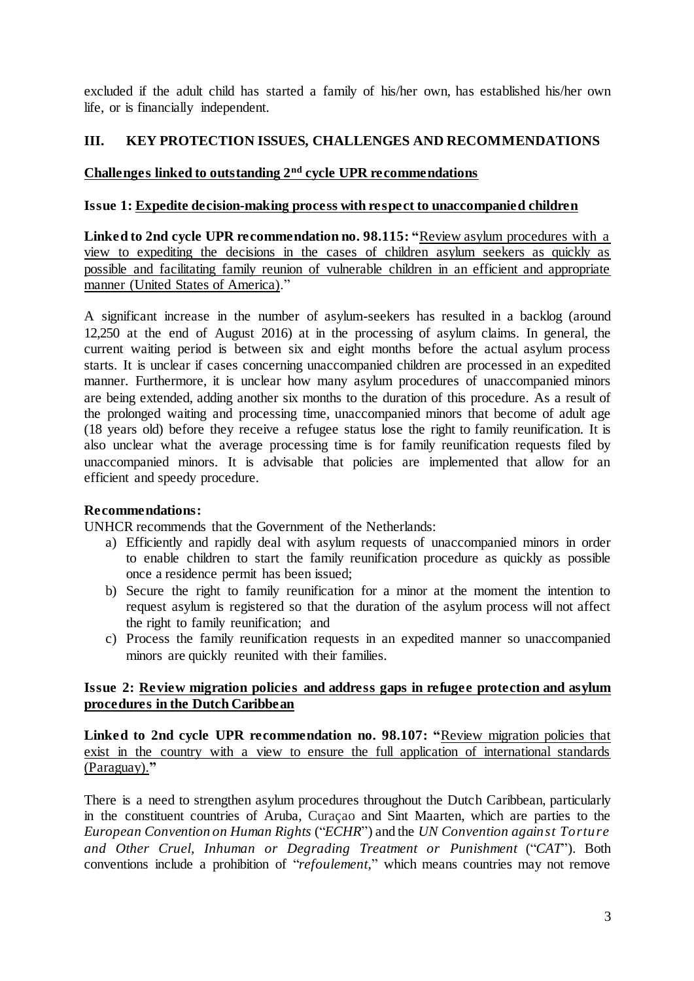excluded if the adult child has started a family of his/her own, has established his/her own life, or is financially independent.

# **III. KEY PROTECTION ISSUES, CHALLENGES AND RECOMMENDATIONS**

# **Challenges linked to outstanding 2nd cycle UPR recommendations**

## **Issue 1: Expedite decision-making process with respect to unaccompanied children**

**Linked to 2nd cycle UPR recommendation no. 98.115: "**Review asylum procedures with a view to expediting the decisions in the cases of children asylum seekers as quickly as possible and facilitating family reunion of vulnerable children in an efficient and appropriate manner (United States of America)."

A significant increase in the number of asylum-seekers has resulted in a backlog (around 12,250 at the end of August 2016) at in the processing of asylum claims. In general, the current waiting period is between six and eight months before the actual asylum process starts. It is unclear if cases concerning unaccompanied children are processed in an expedited manner. Furthermore, it is unclear how many asylum procedures of unaccompanied minors are being extended, adding another six months to the duration of this procedure. As a result of the prolonged waiting and processing time, unaccompanied minors that become of adult age (18 years old) before they receive a refugee status lose the right to family reunification. It is also unclear what the average processing time is for family reunification requests filed by unaccompanied minors. It is advisable that policies are implemented that allow for an efficient and speedy procedure.

# **Recommendations:**

UNHCR recommends that the Government of the Netherlands:

- a) Efficiently and rapidly deal with asylum requests of unaccompanied minors in order to enable children to start the family reunification procedure as quickly as possible once a residence permit has been issued;
- b) Secure the right to family reunification for a minor at the moment the intention to request asylum is registered so that the duration of the asylum process will not affect the right to family reunification; and
- c) Process the family reunification requests in an expedited manner so unaccompanied minors are quickly reunited with their families.

# **Issue 2: Review migration policies and address gaps in refugee protection and asylum procedures in the Dutch Caribbean**

**Linked to 2nd cycle UPR recommendation no. 98.107: "**Review migration policies that exist in the country with a view to ensure the full application of international standards (Paraguay).**"**

There is a need to strengthen asylum procedures throughout the Dutch Caribbean, particularly in the constituent countries of Aruba, Curaçao and Sint Maarten, which are parties to the *European Convention on Human Rights* ("*ECHR*") and the *UN Convention against Torture and Other Cruel, Inhuman or Degrading Treatment or Punishment* ("*CAT*"). Both conventions include a prohibition of "*refoulement,*" which means countries may not remove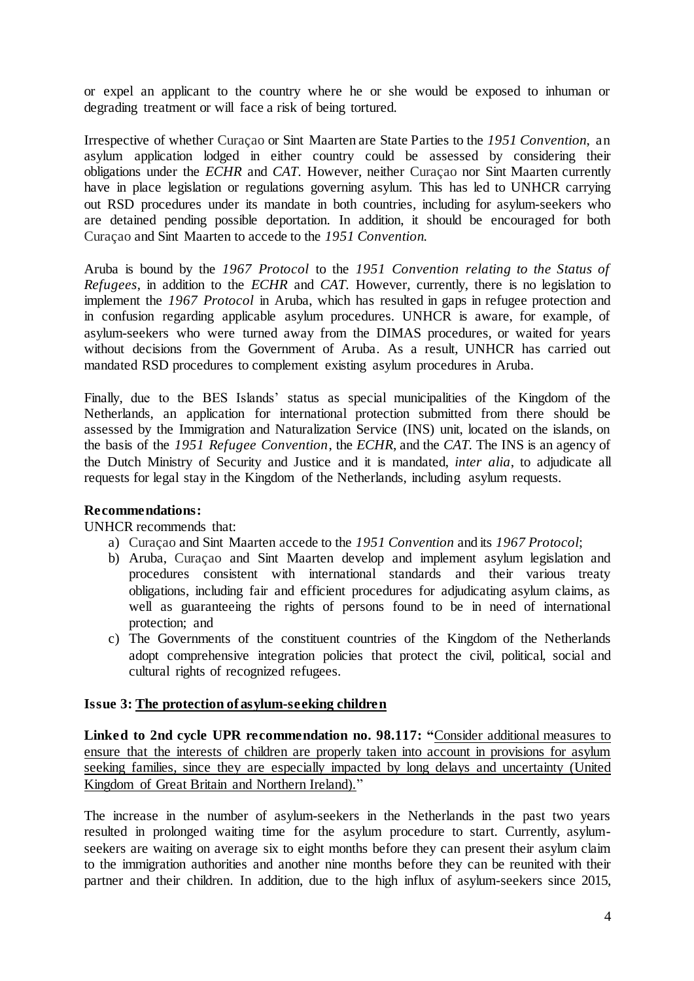or expel an applicant to the country where he or she would be exposed to inhuman or degrading treatment or will face a risk of being tortured.

Irrespective of whether Curaçao or Sint Maarten are State Parties to the *1951 Convention*, an asylum application lodged in either country could be assessed by considering their obligations under the *ECHR* and *CAT*. However, neither Curaçao nor Sint Maarten currently have in place legislation or regulations governing asylum. This has led to UNHCR carrying out RSD procedures under its mandate in both countries, including for asylum-seekers who are detained pending possible deportation. In addition, it should be encouraged for both Curaçao and Sint Maarten to accede to the *1951 Convention.*

Aruba is bound by the *1967 Protocol* to the *1951 Convention relating to the Status of Refugees*, in addition to the *ECHR* and *CAT*. However, currently, there is no legislation to implement the *1967 Protocol* in Aruba, which has resulted in gaps in refugee protection and in confusion regarding applicable asylum procedures. UNHCR is aware, for example, of asylum-seekers who were turned away from the DIMAS procedures, or waited for years without decisions from the Government of Aruba. As a result, UNHCR has carried out mandated RSD procedures to complement existing asylum procedures in Aruba.

Finally, due to the BES Islands' status as special municipalities of the Kingdom of the Netherlands, an application for international protection submitted from there should be assessed by the Immigration and Naturalization Service (INS) unit, located on the islands, on the basis of the *1951 Refugee Convention*, the *ECHR*, and the *CAT*. The INS is an agency of the Dutch Ministry of Security and Justice and it is mandated, *inter alia*, to adjudicate all requests for legal stay in the Kingdom of the Netherlands, including asylum requests.

# **Recommendations:**

UNHCR recommends that:

- a) Curaçao and Sint Maarten accede to the *1951 Convention* and its *1967 Protocol*;
- b) Aruba, Curaçao and Sint Maarten develop and implement asylum legislation and procedures consistent with international standards and their various treaty obligations, including fair and efficient procedures for adjudicating asylum claims, as well as guaranteeing the rights of persons found to be in need of international protection; and
- c) The Governments of the constituent countries of the Kingdom of the Netherlands adopt comprehensive integration policies that protect the civil, political, social and cultural rights of recognized refugees.

## **Issue 3: The protection of asylum-seeking children**

**Linked to 2nd cycle UPR recommendation no. 98.117: "**Consider additional measures to ensure that the interests of children are properly taken into account in provisions for asylum seeking families, since they are especially impacted by long delays and uncertainty (United Kingdom of Great Britain and Northern Ireland)."

The increase in the number of asylum-seekers in the Netherlands in the past two years resulted in prolonged waiting time for the asylum procedure to start. Currently, asylumseekers are waiting on average six to eight months before they can present their asylum claim to the immigration authorities and another nine months before they can be reunited with their partner and their children. In addition, due to the high influx of asylum-seekers since 2015,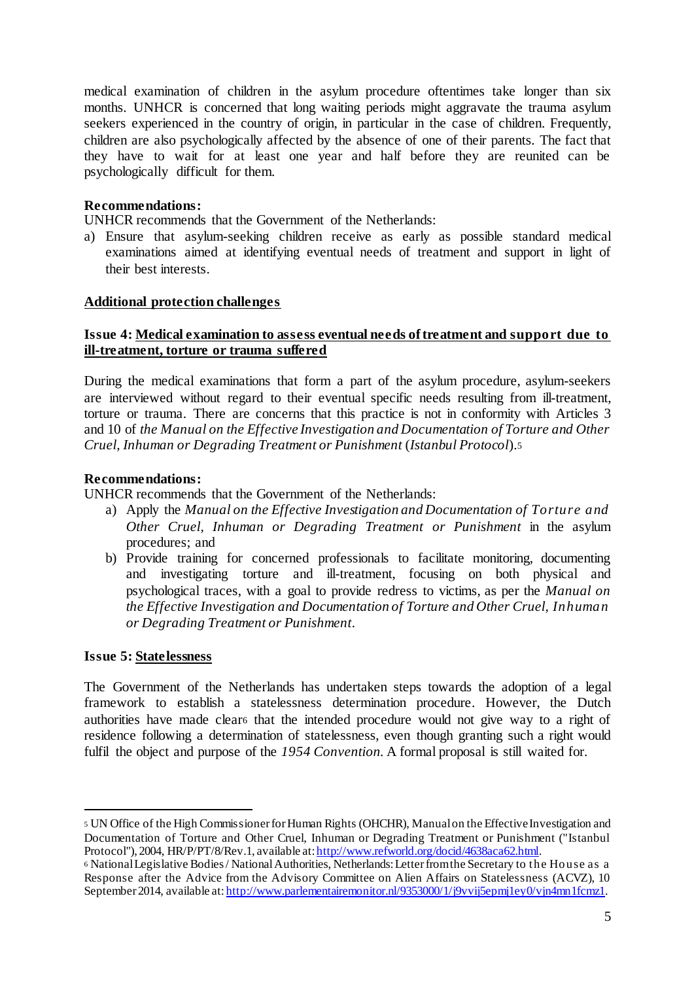medical examination of children in the asylum procedure oftentimes take longer than six months. UNHCR is concerned that long waiting periods might aggravate the trauma asylum seekers experienced in the country of origin, in particular in the case of children. Frequently, children are also psychologically affected by the absence of one of their parents. The fact that they have to wait for at least one year and half before they are reunited can be psychologically difficult for them.

## **Recommendations:**

UNHCR recommends that the Government of the Netherlands:

a) Ensure that asylum-seeking children receive as early as possible standard medical examinations aimed at identifying eventual needs of treatment and support in light of their best interests.

## **Additional protection challenges**

## **Issue 4: Medical examination to assess eventual needs of treatment and support due to ill-treatment, torture or trauma suffered**

During the medical examinations that form a part of the asylum procedure, asylum-seekers are interviewed without regard to their eventual specific needs resulting from ill-treatment, torture or trauma. There are concerns that this practice is not in conformity with Articles 3 and 10 of *the Manual on the Effective Investigation and Documentation of Torture and Other Cruel, Inhuman or Degrading Treatment or Punishment* (*Istanbul Protocol*).<sup>5</sup>

## **Recommendations:**

UNHCR recommends that the Government of the Netherlands:

- a) Apply the *Manual on the Effective Investigation and Documentation of Torture and Other Cruel, Inhuman or Degrading Treatment or Punishment* in the asylum procedures; and
- b) Provide training for concerned professionals to facilitate monitoring, documenting and investigating torture and ill-treatment, focusing on both physical and psychological traces, with a goal to provide redress to victims, as per the *Manual on the Effective Investigation and Documentation of Torture and Other Cruel, Inhuman or Degrading Treatment or Punishment.*

#### **Issue 5: Statelessness**

 $\overline{a}$ 

The Government of the Netherlands has undertaken steps towards the adoption of a legal framework to establish a statelessness determination procedure. However, the Dutch authorities have made clear<sup>6</sup> that the intended procedure would not give way to a right of residence following a determination of statelessness, even though granting such a right would fulfil the object and purpose of the *1954 Convention*. A formal proposal is still waited for.

<sup>5</sup> UN Office of the High Commissioner for Human Rights (OHCHR), Manual on the Effective Investigation and Documentation of Torture and Other Cruel, Inhuman or Degrading Treatment or Punishment ("Istanbul Protocol"), 2004, HR/P/PT/8/Rev.1, available at: http://www.refworld.org/docid/4638aca62.html.

<sup>6</sup> National Legislative Bodies / National Authorities, Netherlands: Letter from the Secretary to the House as a Response after the Advice from the Advisory Committee on Alien Affairs on Statelessness (ACVZ), 10 September 2014, available at: http://www.parlementairemonitor.nl/9353000/1/j9vvij5epmj1ey0/vjn4mn1fcmz1.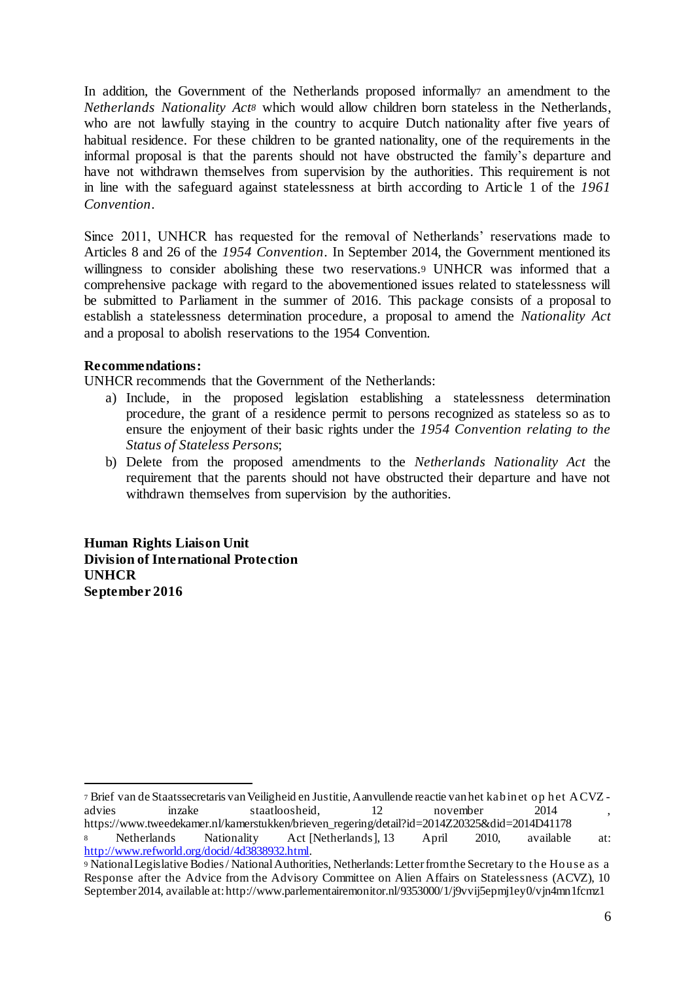In addition, the Government of the Netherlands proposed informally<sup>7</sup> an amendment to the *Netherlands Nationality Act<sup>8</sup>* which would allow children born stateless in the Netherlands, who are not lawfully staying in the country to acquire Dutch nationality after five years of habitual residence. For these children to be granted nationality, one of the requirements in the informal proposal is that the parents should not have obstructed the family's departure and have not withdrawn themselves from supervision by the authorities. This requirement is not in line with the safeguard against statelessness at birth according to Article 1 of the *1961 Convention*.

Since 2011, UNHCR has requested for the removal of Netherlands' reservations made to Articles 8 and 26 of the *1954 Convention*. In September 2014, the Government mentioned its willingness to consider abolishing these two reservations.<sup>9</sup> UNHCR was informed that a comprehensive package with regard to the abovementioned issues related to statelessness will be submitted to Parliament in the summer of 2016. This package consists of a proposal to establish a statelessness determination procedure, a proposal to amend the *Nationality Act* and a proposal to abolish reservations to the 1954 Convention.

# **Recommendations:**

 $\overline{a}$ 

UNHCR recommends that the Government of the Netherlands:

- a) Include, in the proposed legislation establishing a statelessness determination procedure, the grant of a residence permit to persons recognized as stateless so as to ensure the enjoyment of their basic rights under the *1954 Convention relating to the Status of Stateless Persons*;
- b) Delete from the proposed amendments to the *Netherlands Nationality Act* the requirement that the parents should not have obstructed their departure and have not withdrawn themselves from supervision by the authorities.

**Human Rights Liaison Unit Division of International Protection UNHCR September 2016**

<sup>7</sup> Brief van de Staatssecretaris van Veiligheid en Justitie, Aanvullende reactie van het kabinet op het ACVZ advies inzake staatloosheid, 12 november 2014 https://www.tweedekamer.nl/kamerstukken/brieven\_regering/detail?id=2014Z20325&did=2014D41178 <sup>8</sup> Netherlands Nationality Act [Netherlands], 13 April 2010, available at: http://www.refworld.org/docid/4d3838932.html.

<sup>9</sup> National Legislative Bodies / National Authorities, Netherlands: Letter from the Secretary to the House as a Response after the Advice from the Advisory Committee on Alien Affairs on Statelessness (ACVZ), 10 September 2014, available at: http://www.parlementairemonitor.nl/9353000/1/j9vvij5epmj1ey0/vjn4mn1fcmz1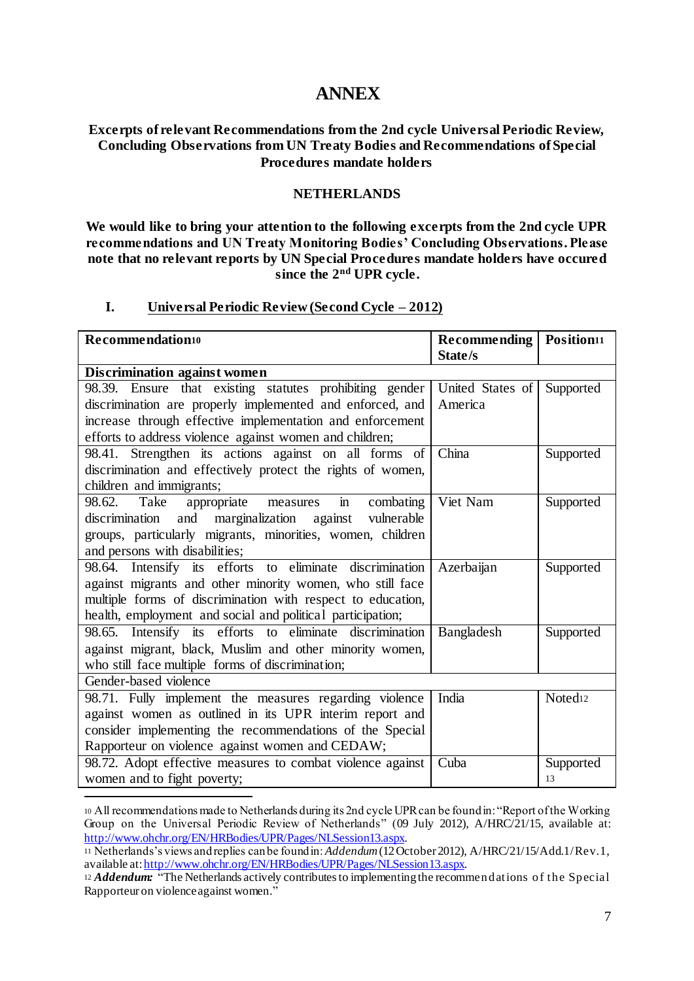# **ANNEX**

## **Excerpts of relevant Recommendations from the 2nd cycle Universal Periodic Review, Concluding Observations from UN Treaty Bodies and Recommendations of Special Procedures mandate holders**

## **NETHERLANDS**

**We would like to bring your attention to the following excerpts from the 2nd cycle UPR recommendations and UN Treaty Monitoring Bodies' Concluding Observations. Please note that no relevant reports by UN Special Procedures mandate holders have occured since the 2nd UPR cycle.**

## **I. Universal Periodic Review (Second Cycle – 2012)**

| Recommendation <sup>10</sup>                                        | <b>Recommending</b> | Position <sup>11</sup> |  |  |
|---------------------------------------------------------------------|---------------------|------------------------|--|--|
|                                                                     | State/s             |                        |  |  |
| <b>Discrimination against women</b>                                 |                     |                        |  |  |
| 98.39. Ensure that existing statutes prohibiting gender             | United States of    | Supported              |  |  |
| discrimination are properly implemented and enforced, and           | America             |                        |  |  |
| increase through effective implementation and enforcement           |                     |                        |  |  |
| efforts to address violence against women and children;             |                     |                        |  |  |
| 98.41. Strengthen its actions against on all forms of               | China               | Supported              |  |  |
| discrimination and effectively protect the rights of women,         |                     |                        |  |  |
| children and immigrants;                                            |                     |                        |  |  |
| Take<br>$\mathbf{m}$<br>98.62.<br>appropriate measures<br>combating | Viet Nam            | Supported              |  |  |
| discrimination and marginalization against<br>vulnerable            |                     |                        |  |  |
| groups, particularly migrants, minorities, women, children          |                     |                        |  |  |
| and persons with disabilities;                                      |                     |                        |  |  |
| 98.64. Intensify its efforts to eliminate discrimination            | Azerbaijan          | Supported              |  |  |
| against migrants and other minority women, who still face           |                     |                        |  |  |
| multiple forms of discrimination with respect to education,         |                     |                        |  |  |
| health, employment and social and political participation;          |                     |                        |  |  |
| 98.65. Intensify its efforts to eliminate discrimination            | Bangladesh          | Supported              |  |  |
| against migrant, black, Muslim and other minority women,            |                     |                        |  |  |
| who still face multiple forms of discrimination;                    |                     |                        |  |  |
| Gender-based violence                                               |                     |                        |  |  |
| 98.71. Fully implement the measures regarding violence              | India               | Noted <sub>12</sub>    |  |  |
| against women as outlined in its UPR interim report and             |                     |                        |  |  |
| consider implementing the recommendations of the Special            |                     |                        |  |  |
| Rapporteur on violence against women and CEDAW;                     |                     |                        |  |  |
| 98.72. Adopt effective measures to combat violence against          | Cuba                | Supported              |  |  |
| women and to fight poverty;                                         |                     | 13                     |  |  |

<sup>10</sup> All recommendations made to Netherlands during its 2nd cycle UPR can be found in: "Report of the Working Group on the Universal Periodic Review of Netherlands" (09 July 2012), A/HRC/21/15, available at: http://www.ohchr.org/EN/HRBodies/UPR/Pages/NLSession13.aspx.

 $\overline{a}$ 

<sup>11</sup> Netherlands's views and replies can be found in:*Addendum* (12 October 2012), A/HRC/21/15/Add.1/Rev.1, available at: http://www.ohchr.org/EN/HRBodies/UPR/Pages/NLSession13.aspx.

<sup>&</sup>lt;sup>12</sup> *Addendum:* <sup>"</sup>The Netherlands actively contributes to implementing the recommendations of the Special Rapporteur on violence against women."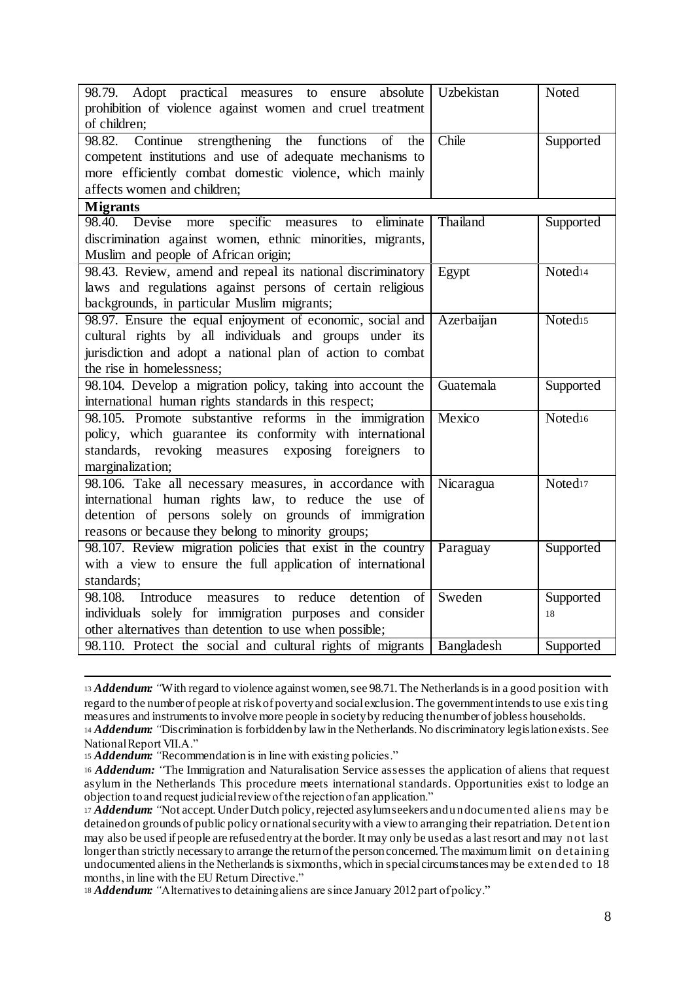| 98.79. Adopt practical measures to ensure<br>absolute         | Uzbekistan | Noted               |
|---------------------------------------------------------------|------------|---------------------|
| prohibition of violence against women and cruel treatment     |            |                     |
| of children;                                                  |            |                     |
| 98.82.<br>strengthening the functions<br>Continue<br>of the   | Chile      | Supported           |
| competent institutions and use of adequate mechanisms to      |            |                     |
| more efficiently combat domestic violence, which mainly       |            |                     |
| affects women and children;                                   |            |                     |
| <b>Migrants</b>                                               |            |                     |
| specific measures to<br>98.40.<br>Devise<br>eliminate<br>more | Thailand   | Supported           |
| discrimination against women, ethnic minorities, migrants,    |            |                     |
| Muslim and people of African origin;                          |            |                     |
| 98.43. Review, amend and repeal its national discriminatory   | Egypt      | Noted <sub>14</sub> |
| laws and regulations against persons of certain religious     |            |                     |
| backgrounds, in particular Muslim migrants;                   |            |                     |
| 98.97. Ensure the equal enjoyment of economic, social and     | Azerbaijan | Noted <sub>15</sub> |
| cultural rights by all individuals and groups under its       |            |                     |
| jurisdiction and adopt a national plan of action to combat    |            |                     |
| the rise in homelessness;                                     |            |                     |
| 98.104. Develop a migration policy, taking into account the   | Guatemala  | Supported           |
| international human rights standards in this respect;         |            |                     |
| 98.105. Promote substantive reforms in the immigration        | Mexico     | Noted <sub>16</sub> |
| policy, which guarantee its conformity with international     |            |                     |
| standards, revoking measures exposing foreigners<br>to        |            |                     |
| marginalization;                                              |            |                     |
| 98.106. Take all necessary measures, in accordance with       | Nicaragua  | Noted <sub>17</sub> |
| international human rights law, to reduce the use of          |            |                     |
| detention of persons solely on grounds of immigration         |            |                     |
| reasons or because they belong to minority groups;            |            |                     |
| 98.107. Review migration policies that exist in the country   | Paraguay   | Supported           |
| with a view to ensure the full application of international   |            |                     |
| standards;                                                    |            |                     |
| detention of<br>98.108.<br>Introduce<br>to reduce<br>measures | Sweden     | Supported           |
| individuals solely for immigration purposes and consider      |            | 18                  |
| other alternatives than detention to use when possible;       |            |                     |
| 98.110. Protect the social and cultural rights of migrants    | Bangladesh | Supported           |

<sup>13</sup> *Addendum: "*With regard to violence against women, see 98.71. The Netherlands is in a good position with regard to the number of people at risk of poverty and social exclusion. The government intends to use exis ting measures and instruments to involve more people in society by reducing the number of jobless households. <sup>14</sup> *Addendum: "*Discrimination is forbidden by law in the Netherlands. No discriminatory legislation exists. See

 $\overline{a}$ 

<sup>18</sup> *Addendum: "*Alternatives to detaining aliens are since January 2012 part of policy."

National Report VII.A."

<sup>15</sup> *Addendum: "*Recommendation is in line with existing policies."

<sup>16</sup> *Addendum: "*The Immigration and Naturalisation Service assesses the application of aliens that request asylum in the Netherlands This procedure meets international standards. Opportunities exist to lodge an objection to and request judicial review of the rejection of an application."

<sup>17</sup> *Addendum: "*Not accept. Under Dutch policy, rejected asylum seekers and undocumented aliens may be detained on grounds of public policy or national security with a view to arranging their repatriation. Detention may also be used if people are refused entry at the border. It may only be used as a last resort and may not last longer than strictly necessary to arrange the return of the person concerned. The maximum limit on detaining undocumented aliens in the Netherlands is six months, which in special circumstances may be extended to 18 months, in line with the EU Return Directive."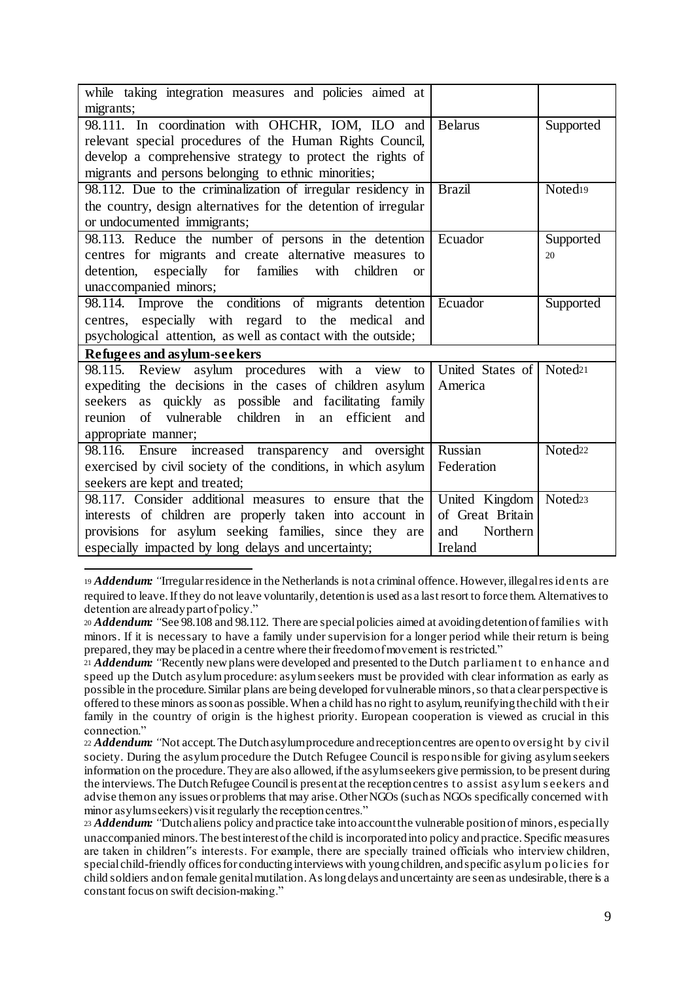| while taking integration measures and policies aimed at         |                  |                     |
|-----------------------------------------------------------------|------------------|---------------------|
| migrants;                                                       |                  |                     |
| 98.111. In coordination with OHCHR, IOM, ILO and                | <b>Belarus</b>   | Supported           |
| relevant special procedures of the Human Rights Council,        |                  |                     |
| develop a comprehensive strategy to protect the rights of       |                  |                     |
| migrants and persons belonging to ethnic minorities;            |                  |                     |
| 98.112. Due to the criminalization of irregular residency in    | <b>Brazil</b>    | Noted <sub>19</sub> |
| the country, design alternatives for the detention of irregular |                  |                     |
| or undocumented immigrants;                                     |                  |                     |
| 98.113. Reduce the number of persons in the detention Ecuador   |                  | Supported           |
| centres for migrants and create alternative measures to         |                  | 20                  |
| detention, especially for families with children<br><b>or</b>   |                  |                     |
| unaccompanied minors;                                           |                  |                     |
| 98.114. Improve the conditions of migrants detention            | Ecuador          | Supported           |
| centres, especially with regard to the medical and              |                  |                     |
| psychological attention, as well as contact with the outside;   |                  |                     |
| Refugees and asylum-seekers                                     |                  |                     |
| 98.115. Review asylum procedures with a view<br>to              | United States of | Noted <sub>21</sub> |
| expediting the decisions in the cases of children asylum        | America          |                     |
| seekers as quickly as possible and facilitating family          |                  |                     |
| of vulnerable children in<br>an efficient<br>reunion<br>and     |                  |                     |
| appropriate manner;                                             |                  |                     |
| 98.116. Ensure increased transparency and oversight             | Russian          | Noted <sub>22</sub> |
| exercised by civil society of the conditions, in which asylum   | Federation       |                     |
| seekers are kept and treated;                                   |                  |                     |
| 98.117. Consider additional measures to ensure that the         | United Kingdom   | Noted <sub>23</sub> |
| interests of children are properly taken into account in        | of Great Britain |                     |
| provisions for asylum seeking families, since they are          | Northern<br>and  |                     |
| especially impacted by long delays and uncertainty;             | Ireland          |                     |

 $\overline{a}$ <sup>19</sup> *Addendum: "*Irregular residence in the Netherlands is not a criminal offence. However, illegal res idents are required to leave. If they do not leave voluntarily, detention is used as a last resort to force them. Alternatives to detention are already part of policy."

<sup>20</sup> *Addendum: "*See 98.108 and 98.112. There are special policies aimed at avoiding detention of families with minors. If it is necessary to have a family under supervision for a longer period while their return is being prepared, they may be placed in a centre where their freedom of movement is restricted."

<sup>21</sup> *Addendum: "*Recently new plans were developed and presented to the Dutch parliament to enhance and speed up the Dutch asylum procedure: asylum seekers must be provided with clear information as early as possible in the procedure. Similar plans are being developed for vulnerable minors, so that a clear perspective is offered to these minors as soon as possible. When a child has no right to asylum, reunifying the child with their family in the country of origin is the highest priority. European cooperation is viewed as crucial in this connection."

<sup>22</sup> *Addendum: "*Not accept. The Dutch asylum procedure and reception centres are open to oversight by civil society. During the asylum procedure the Dutch Refugee Council is responsible for giving asylum seekers information on the procedure. They are also allowed, if the asylum seekers give permission, to be present during the interviews. The Dutch Refugee Council is present at the reception centres to assist asylum s eekers and advise them on any issues or problems that may arise. Other NGOs (such as NGOs specifically concerned with minor asylum seekers) visit regularly the reception centres."

<sup>23</sup> *Addendum: "*Dutch aliens policy and practice take into account the vulnerable position of minors, especially unaccompanied minors. The best interest of the child is incorporated into policy and practice. Specific measures are taken in children"s interests. For example, there are specially trained officials who interview children, special child-friendly offices for conducting interviews with young children, and specific asylum policies for child soldiers and on female genital mutilation. As long delays and uncertainty are seen as undesirable, there is a constant focus on swift decision-making."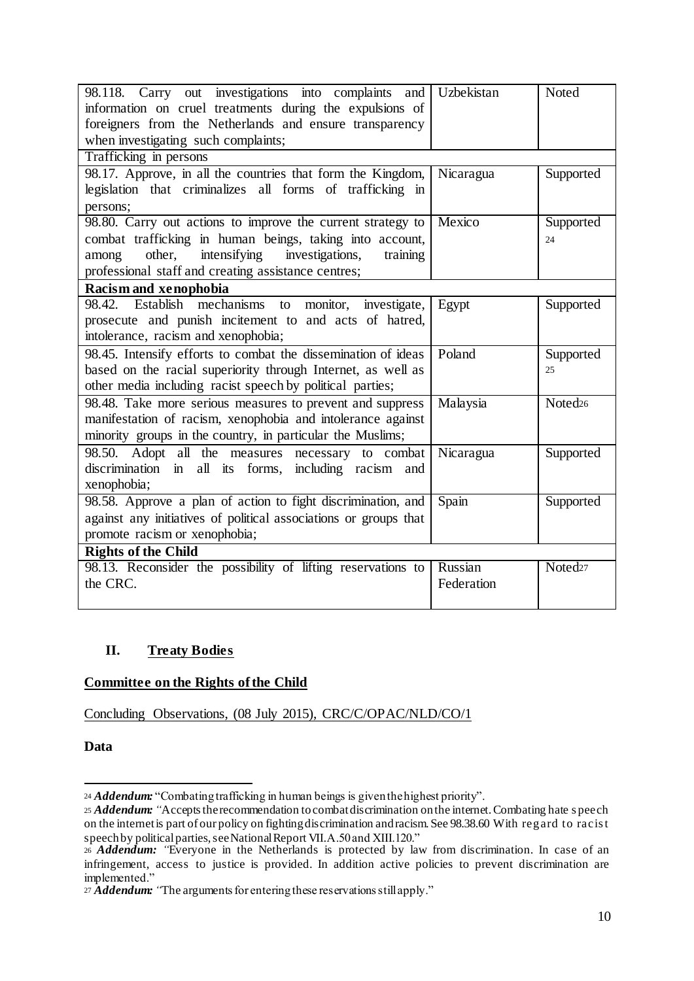| 98.118. Carry out investigations into complaints and<br>information on cruel treatments during the expulsions of<br>foreigners from the Netherlands and ensure transparency<br>when investigating such complaints;                            | Uzbekistan            | Noted               |  |  |
|-----------------------------------------------------------------------------------------------------------------------------------------------------------------------------------------------------------------------------------------------|-----------------------|---------------------|--|--|
| Trafficking in persons                                                                                                                                                                                                                        |                       |                     |  |  |
| 98.17. Approve, in all the countries that form the Kingdom,<br>legislation that criminalizes all forms of trafficking in<br>persons;                                                                                                          | Nicaragua             | Supported           |  |  |
| 98.80. Carry out actions to improve the current strategy to<br>combat trafficking in human beings, taking into account,<br>other,<br>intensifying investigations,<br>among<br>training<br>professional staff and creating assistance centres; | Mexico                | Supported<br>24     |  |  |
| Racism and xenophobia                                                                                                                                                                                                                         |                       |                     |  |  |
| 98.42. Establish mechanisms<br>monitor, investigate,<br>to<br>prosecute and punish incitement to and acts of hatred,<br>intolerance, racism and xenophobia;                                                                                   | Egypt                 | Supported           |  |  |
| 98.45. Intensify efforts to combat the dissemination of ideas<br>based on the racial superiority through Internet, as well as<br>other media including racist speech by political parties;                                                    | Poland                | Supported<br>25     |  |  |
| 98.48. Take more serious measures to prevent and suppress<br>manifestation of racism, xenophobia and intolerance against<br>minority groups in the country, in particular the Muslims;                                                        | Malaysia              | Noted <sub>26</sub> |  |  |
| 98.50. Adopt all the measures necessary to combat<br>discrimination in all its forms, including racism and<br>xenophobia;                                                                                                                     | Nicaragua             | Supported           |  |  |
| 98.58. Approve a plan of action to fight discrimination, and<br>against any initiatives of political associations or groups that<br>promote racism or xenophobia;                                                                             | Spain                 | Supported           |  |  |
| <b>Rights of the Child</b>                                                                                                                                                                                                                    |                       |                     |  |  |
| 98.13. Reconsider the possibility of lifting reservations to<br>the CRC.                                                                                                                                                                      | Russian<br>Federation | Noted <sub>27</sub> |  |  |

# **II. Treaty Bodies**

# **Committee on the Rights of the Child**

Concluding Observations, (08 July 2015), CRC/C/OPAC/NLD/CO/1

**Data** 

 $\overline{a}$ <sup>24</sup> *Addendum:* "Combating trafficking in human beings is given the highest priority".

<sup>&</sup>lt;sup>25</sup> *Addendum:* "Accepts the recommendation to combat discrimination on the internet. Combating hate s peech on the internet is part of our policy on fighting discrimination and racism. See 98.38.60 With regard to racis t speech by political parties, see National Report VII.A.50 and XIII.120."

<sup>26</sup> *Addendum: "*Everyone in the Netherlands is protected by law from discrimination. In case of an infringement, access to justice is provided. In addition active policies to prevent discrimination are implemented."

<sup>27</sup> *Addendum: "*The arguments for entering these reservations still apply."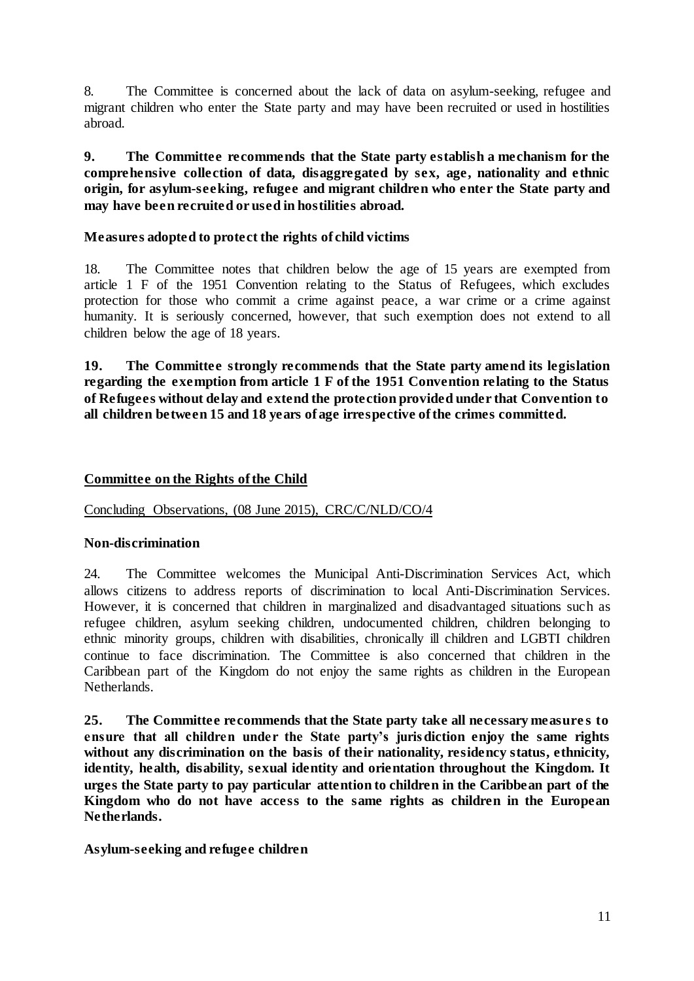8. The Committee is concerned about the lack of data on asylum-seeking, refugee and migrant children who enter the State party and may have been recruited or used in hostilities abroad.

**9. The Committee recommends that the State party establish a mechanism for the comprehensive collection of data, disaggregated by sex, age, nationality and ethnic origin, for asylum-seeking, refugee and migrant children who enter the State party and may have been recruited or used in hostilities abroad.**

## **Measures adopted to protect the rights of child victims**

18. The Committee notes that children below the age of 15 years are exempted from article 1 F of the 1951 Convention relating to the Status of Refugees, which excludes protection for those who commit a crime against peace, a war crime or a crime against humanity. It is seriously concerned, however, that such exemption does not extend to all children below the age of 18 years.

**19. The Committee strongly recommends that the State party amend its legislation regarding the exemption from article 1 F of the 1951 Convention relating to the Status of Refugees without delay and extend the protection provided under that Convention to all children between 15 and 18 years of age irrespective of the crimes committed.**

## **Committee on the Rights of the Child**

Concluding Observations, (08 June 2015), CRC/C/NLD/CO/4

## **Non-discrimination**

24. The Committee welcomes the Municipal Anti-Discrimination Services Act, which allows citizens to address reports of discrimination to local Anti-Discrimination Services. However, it is concerned that children in marginalized and disadvantaged situations such as refugee children, asylum seeking children, undocumented children, children belonging to ethnic minority groups, children with disabilities, chronically ill children and LGBTI children continue to face discrimination. The Committee is also concerned that children in the Caribbean part of the Kingdom do not enjoy the same rights as children in the European Netherlands.

**25. The Committee recommends that the State party take all necessary measure s to ensure that all children under the State party's jurisdiction enjoy the same rights without any discrimination on the basis of their nationality, residency status, ethnicity, identity, health, disability, sexual identity and orientation throughout the Kingdom. It urges the State party to pay particular attention to children in the Caribbean part of the Kingdom who do not have access to the same rights as children in the European Netherlands.**

# **Asylum-seeking and refugee children**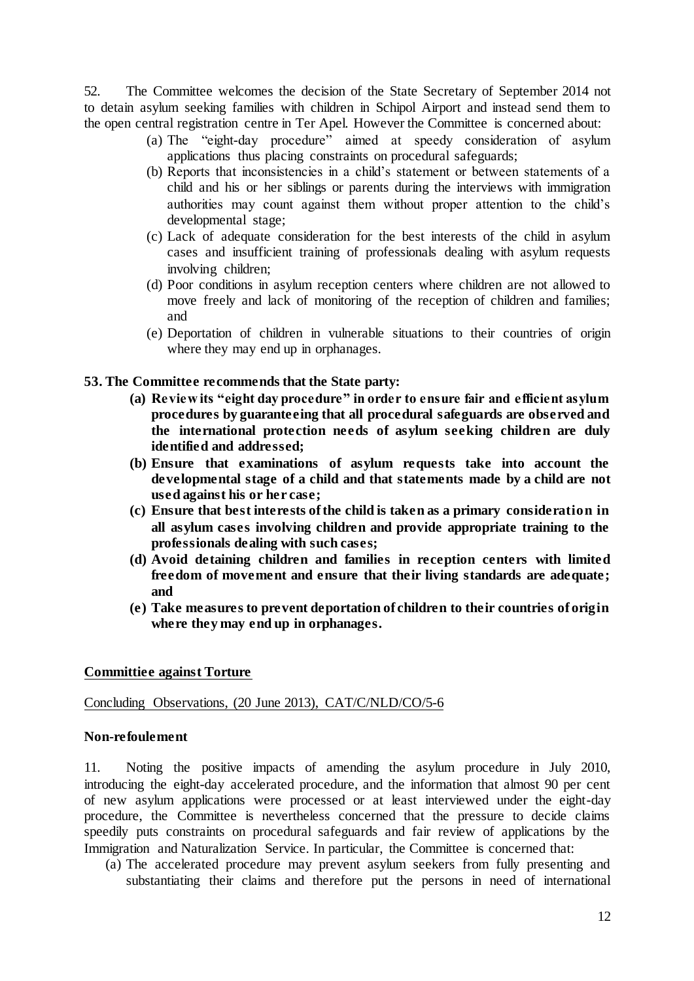52. The Committee welcomes the decision of the State Secretary of September 2014 not to detain asylum seeking families with children in Schipol Airport and instead send them to the open central registration centre in Ter Apel. However the Committee is concerned about:

- (a) The "eight-day procedure" aimed at speedy consideration of asylum applications thus placing constraints on procedural safeguards;
- (b) Reports that inconsistencies in a child's statement or between statements of a child and his or her siblings or parents during the interviews with immigration authorities may count against them without proper attention to the child's developmental stage;
- (c) Lack of adequate consideration for the best interests of the child in asylum cases and insufficient training of professionals dealing with asylum requests involving children;
- (d) Poor conditions in asylum reception centers where children are not allowed to move freely and lack of monitoring of the reception of children and families; and
- (e) Deportation of children in vulnerable situations to their countries of origin where they may end up in orphanages.

## **53. The Committee recommends that the State party:**

- **(a) Review its "eight day procedure" in order to ensure fair and efficient asylum procedures by guaranteeing that all procedural safeguards are observed and the international protection needs of asylum seeking children are duly identified and addressed;**
- **(b) Ensure that examinations of asylum requests take into account the developmental stage of a child and that statements made by a child are not used against his or her case;**
- **(c) Ensure that best interests of the child is taken as a primary consideration in all asylum cases involving children and provide appropriate training to the professionals dealing with such cases;**
- **(d) Avoid detaining children and families in reception centers with limited freedom of movement and ensure that their living standards are adequate; and**
- **(e) Take measures to prevent deportation of children to their countries of origin where they may end up in orphanages.**

## **Committiee against Torture**

## Concluding Observations, (20 June 2013), CAT/C/NLD/CO/5-6

## **Non-refoulement**

11. Noting the positive impacts of amending the asylum procedure in July 2010, introducing the eight-day accelerated procedure, and the information that almost 90 per cent of new asylum applications were processed or at least interviewed under the eight-day procedure, the Committee is nevertheless concerned that the pressure to decide claims speedily puts constraints on procedural safeguards and fair review of applications by the Immigration and Naturalization Service. In particular, the Committee is concerned that:

(a) The accelerated procedure may prevent asylum seekers from fully presenting and substantiating their claims and therefore put the persons in need of international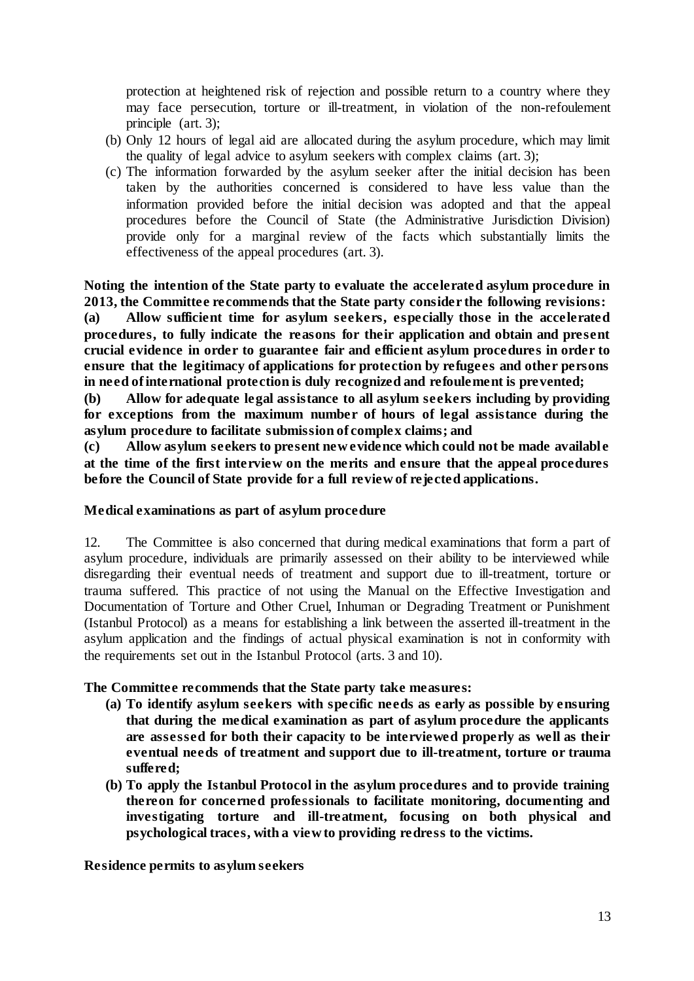protection at heightened risk of rejection and possible return to a country where they may face persecution, torture or ill-treatment, in violation of the non-refoulement principle (art. 3);

- (b) Only 12 hours of legal aid are allocated during the asylum procedure, which may limit the quality of legal advice to asylum seekers with complex claims (art. 3);
- (c) The information forwarded by the asylum seeker after the initial decision has been taken by the authorities concerned is considered to have less value than the information provided before the initial decision was adopted and that the appeal procedures before the Council of State (the Administrative Jurisdiction Division) provide only for a marginal review of the facts which substantially limits the effectiveness of the appeal procedures (art. 3).

**Noting the intention of the State party to evaluate the accelerated asylum procedure in 2013, the Committee recommends that the State party consider the following revisions:** 

**(a) Allow sufficient time for asylum seekers, especially those in the accelerated procedures, to fully indicate the reasons for their application and obtain and present crucial evidence in order to guarantee fair and efficient asylum procedures in order to ensure that the legitimacy of applications for protection by refugees and other persons in need of international protection is duly recognized and refoulement is prevented;**

**(b) Allow for adequate legal assistance to all asylum seekers including by providing for exceptions from the maximum number of hours of legal assistance during the asylum procedure to facilitate submission of complex claims; and**

**(c) Allow asylum seekers to present new evidence which could not be made availabl e at the time of the first interview on the merits and ensure that the appeal procedures before the Council of State provide for a full review of rejected applications.**

## **Medical examinations as part of asylum procedure**

12. The Committee is also concerned that during medical examinations that form a part of asylum procedure, individuals are primarily assessed on their ability to be interviewed while disregarding their eventual needs of treatment and support due to ill-treatment, torture or trauma suffered. This practice of not using the Manual on the Effective Investigation and Documentation of Torture and Other Cruel, Inhuman or Degrading Treatment or Punishment (Istanbul Protocol) as a means for establishing a link between the asserted ill-treatment in the asylum application and the findings of actual physical examination is not in conformity with the requirements set out in the Istanbul Protocol (arts. 3 and 10).

## **The Committee recommends that the State party take measures:**

- **(a) To identify asylum seekers with specific needs as early as possible by ensuring that during the medical examination as part of asylum procedure the applicants are assessed for both their capacity to be interviewed properly as well as their eventual needs of treatment and support due to ill-treatment, torture or trauma suffered;**
- **(b) To apply the Istanbul Protocol in the asylum procedures and to provide training thereon for concerned professionals to facilitate monitoring, documenting and investigating torture and ill-treatment, focusing on both physical and psychological traces, with a view to providing redress to the victims.**

#### **Residence permits to asylum seekers**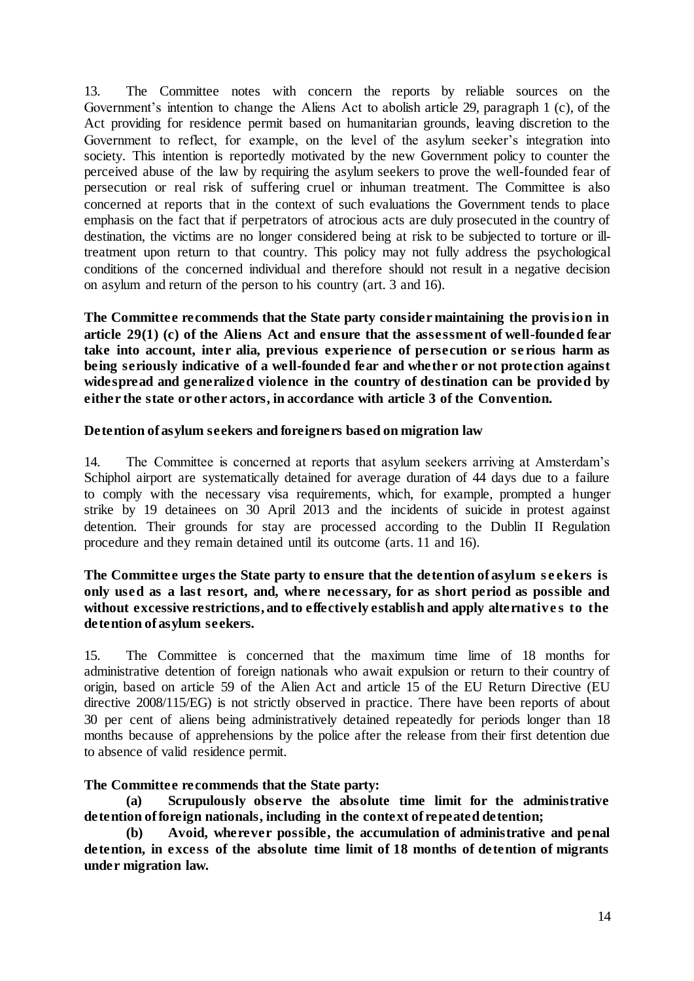13. The Committee notes with concern the reports by reliable sources on the Government's intention to change the Aliens Act to abolish article 29, paragraph 1 (c), of the Act providing for residence permit based on humanitarian grounds, leaving discretion to the Government to reflect, for example, on the level of the asylum seeker's integration into society. This intention is reportedly motivated by the new Government policy to counter the perceived abuse of the law by requiring the asylum seekers to prove the well-founded fear of persecution or real risk of suffering cruel or inhuman treatment. The Committee is also concerned at reports that in the context of such evaluations the Government tends to place emphasis on the fact that if perpetrators of atrocious acts are duly prosecuted in the country of destination, the victims are no longer considered being at risk to be subjected to torture or illtreatment upon return to that country. This policy may not fully address the psychological conditions of the concerned individual and therefore should not result in a negative decision on asylum and return of the person to his country (art. 3 and 16).

**The Committee recommends that the State party consider maintaining the provis ion in article 29(1) (c) of the Aliens Act and ensure that the assessment of well-founded fear take into account, inter alia, previous experience of persecution or se rious harm as being seriously indicative of a well-founded fear and whether or not protection against widespread and generalized violence in the country of destination can be provided by either the state or other actors, in accordance with article 3 of the Convention.**

## **Detention of asylum seekers and foreigners based on migration law**

14. The Committee is concerned at reports that asylum seekers arriving at Amsterdam's Schiphol airport are systematically detained for average duration of 44 days due to a failure to comply with the necessary visa requirements, which, for example, prompted a hunger strike by 19 detainees on 30 April 2013 and the incidents of suicide in protest against detention. Their grounds for stay are processed according to the Dublin II Regulation procedure and they remain detained until its outcome (arts. 11 and 16).

## **The Committee urges the State party to ensure that the detention of asylum s e ekers is only used as a last resort, and, where necessary, for as short period as possible and without excessive restrictions, and to effectively establish and apply alternative s to the detention of asylum seekers.**

15. The Committee is concerned that the maximum time lime of 18 months for administrative detention of foreign nationals who await expulsion or return to their country of origin, based on article 59 of the Alien Act and article 15 of the EU Return Directive (EU directive 2008/115/EG) is not strictly observed in practice. There have been reports of about 30 per cent of aliens being administratively detained repeatedly for periods longer than 18 months because of apprehensions by the police after the release from their first detention due to absence of valid residence permit.

# **The Committee recommends that the State party:**

**(a) Scrupulously observe the absolute time limit for the administrative detention of foreign nationals, including in the context of repeated detention;** 

**(b) Avoid, wherever possible, the accumulation of administrative and penal detention, in excess of the absolute time limit of 18 months of detention of migrants under migration law.**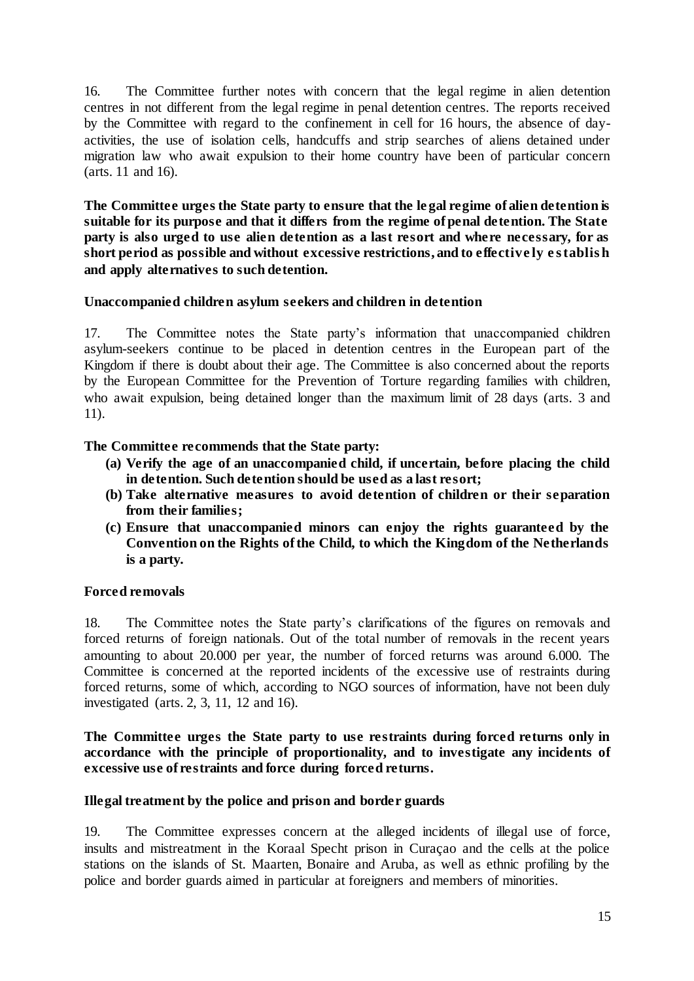16. The Committee further notes with concern that the legal regime in alien detention centres in not different from the legal regime in penal detention centres. The reports received by the Committee with regard to the confinement in cell for 16 hours, the absence of dayactivities, the use of isolation cells, handcuffs and strip searches of aliens detained under migration law who await expulsion to their home country have been of particular concern (arts. 11 and 16).

**The Committee urges the State party to ensure that the le gal regime of alien detention is suitable for its purpose and that it differs from the regime of penal detention. The State party is also urged to use alien detention as a last resort and where necessary, for as short period as possible and without excessive restrictions, and to effective ly e s tablis h and apply alternatives to such detention.** 

## **Unaccompanied children asylum seekers and children in detention**

17. The Committee notes the State party's information that unaccompanied children asylum-seekers continue to be placed in detention centres in the European part of the Kingdom if there is doubt about their age. The Committee is also concerned about the reports by the European Committee for the Prevention of Torture regarding families with children, who await expulsion, being detained longer than the maximum limit of 28 days (arts. 3 and 11).

## **The Committee recommends that the State party:**

- **(a) Verify the age of an unaccompanied child, if uncertain, before placing the child in detention. Such detention should be used as a last resort;**
- **(b) Take alternative measures to avoid detention of children or their separation from their families;**
- **(c) Ensure that unaccompanied minors can enjoy the rights guaranteed by the Convention on the Rights of the Child, to which the Kingdom of the Netherlands is a party.**

## **Forced removals**

18. The Committee notes the State party's clarifications of the figures on removals and forced returns of foreign nationals. Out of the total number of removals in the recent years amounting to about 20.000 per year, the number of forced returns was around 6.000. The Committee is concerned at the reported incidents of the excessive use of restraints during forced returns, some of which, according to NGO sources of information, have not been duly investigated (arts. 2, 3, 11, 12 and 16).

## **The Committee urges the State party to use restraints during forced returns only in accordance with the principle of proportionality, and to investigate any incidents of excessive use of restraints and force during forced returns.**

## **Illegal treatment by the police and prison and border guards**

19. The Committee expresses concern at the alleged incidents of illegal use of force, insults and mistreatment in the Koraal Specht prison in Curaçao and the cells at the police stations on the islands of St. Maarten, Bonaire and Aruba, as well as ethnic profiling by the police and border guards aimed in particular at foreigners and members of minorities.